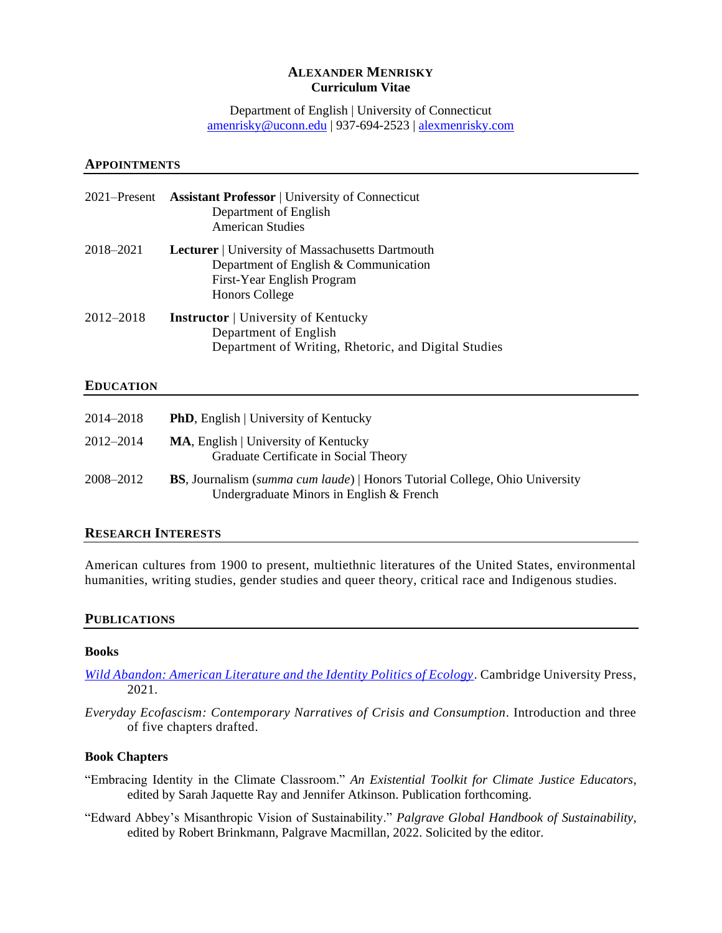## **ALEXANDER MENRISKY Curriculum Vitae**

Department of English | University of Connecticut [amenrisky@uconn.edu](mailto:amenrisky@uconn.edu) | 937-694-2523 |<alexmenrisky.com>

#### **APPOINTMENTS**

| 2021–Present | <b>Assistant Professor</b>   University of Connecticut<br>Department of English<br><b>American Studies</b>                                              |
|--------------|---------------------------------------------------------------------------------------------------------------------------------------------------------|
| 2018-2021    | <b>Lecturer</b>   University of Massachusetts Dartmouth<br>Department of English & Communication<br>First-Year English Program<br><b>Honors College</b> |
| 2012–2018    | <b>Instructor</b>   University of Kentucky<br>Department of English<br>Department of Writing, Rhetoric, and Digital Studies                             |

#### **EDUCATION**

| 2014–2018 | <b>PhD</b> , English   University of Kentucky                                                                                   |
|-----------|---------------------------------------------------------------------------------------------------------------------------------|
| 2012–2014 | <b>MA, English   University of Kentucky</b><br>Graduate Certificate in Social Theory                                            |
| 2008–2012 | <b>BS</b> , Journalism (summa cum laude)   Honors Tutorial College, Ohio University<br>Undergraduate Minors in English & French |

## **RESEARCH INTERESTS**

American cultures from 1900 to present, multiethnic literatures of the United States, environmental humanities, writing studies, gender studies and queer theory, critical race and Indigenous studies.

#### **PUBLICATIONS**

### **Books**

*[Wild Abandon: American Literature and the Identity Politics of Ecology](https://www.cambridge.org/core/books/wild-abandon/06DCF0BB6EDF98C26FDF76BE9DF0C1F5)*. Cambridge University Press, 2021.

*Everyday Ecofascism: Contemporary Narratives of Crisis and Consumption*. Introduction and three of five chapters drafted.

### **Book Chapters**

- "Embracing Identity in the Climate Classroom." *An Existential Toolkit for Climate Justice Educators*, edited by Sarah Jaquette Ray and Jennifer Atkinson. Publication forthcoming.
- "Edward Abbey's Misanthropic Vision of Sustainability." *Palgrave Global Handbook of Sustainability*, edited by Robert Brinkmann, Palgrave Macmillan, 2022. Solicited by the editor.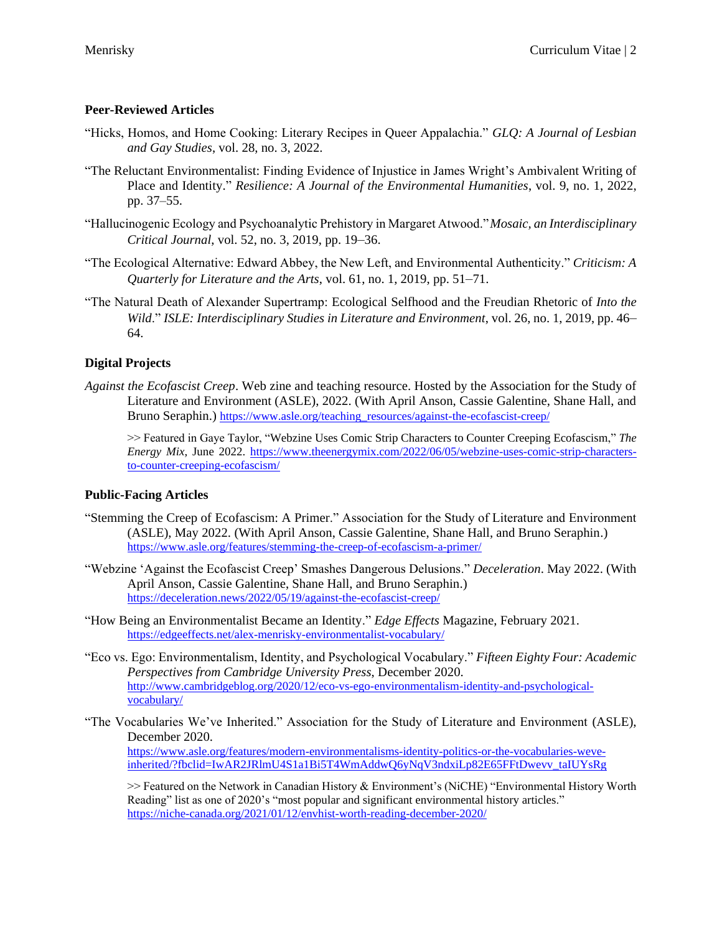## **Peer-Reviewed Articles**

- "Hicks, Homos, and Home Cooking: Literary Recipes in Queer Appalachia." *GLQ: A Journal of Lesbian and Gay Studies*, vol. 28, no. 3, 2022.
- "The Reluctant Environmentalist: Finding Evidence of Injustice in James Wright's Ambivalent Writing of Place and Identity." *Resilience: A Journal of the Environmental Humanities*, vol. 9, no. 1, 2022, pp. 37–55.
- "Hallucinogenic Ecology and Psychoanalytic Prehistory in Margaret Atwood."*Mosaic, an Interdisciplinary Critical Journal*, vol. 52, no. 3, 2019, pp. 19–36.
- "The Ecological Alternative: Edward Abbey, the New Left, and Environmental Authenticity." *Criticism: A Quarterly for Literature and the Arts*, vol. 61, no. 1, 2019, pp. 51–71.
- "The Natural Death of Alexander Supertramp: Ecological Selfhood and the Freudian Rhetoric of *Into the Wild*." *ISLE: Interdisciplinary Studies in Literature and Environment*, vol. 26, no. 1, 2019, pp. 46– 64.

## **Digital Projects**

*Against the Ecofascist Creep*. Web zine and teaching resource. Hosted by the Association for the Study of Literature and Environment (ASLE), 2022. (With April Anson, Cassie Galentine, Shane Hall, and Bruno Seraphin.) [https://www.asle.org/teaching\\_resources/against-the-ecofascist-creep/](https://www.asle.org/teaching_resources/against-the-ecofascist-creep/)

>> Featured in Gaye Taylor, "Webzine Uses Comic Strip Characters to Counter Creeping Ecofascism," *The Energy Mix*, June 2022. [https://www.theenergymix.com/2022/06/05/webzine-uses-comic-strip-characters](https://www.theenergymix.com/2022/06/05/webzine-uses-comic-strip-characters-to-counter-creeping-ecofascism/)[to-counter-creeping-ecofascism/](https://www.theenergymix.com/2022/06/05/webzine-uses-comic-strip-characters-to-counter-creeping-ecofascism/)

## **Public-Facing Articles**

- "Stemming the Creep of Ecofascism: A Primer." Association for the Study of Literature and Environment (ASLE), May 2022. (With April Anson, Cassie Galentine, Shane Hall, and Bruno Seraphin.) <https://www.asle.org/features/stemming-the-creep-of-ecofascism-a-primer/>
- "Webzine 'Against the Ecofascist Creep' Smashes Dangerous Delusions." *Deceleration*. May 2022. (With April Anson, Cassie Galentine, Shane Hall, and Bruno Seraphin.) <https://deceleration.news/2022/05/19/against-the-ecofascist-creep/>
- "How Being an Environmentalist Became an Identity." *Edge Effects* Magazine, February 2021. <https://edgeeffects.net/alex-menrisky-environmentalist-vocabulary/>
- "Eco vs. Ego: Environmentalism, Identity, and Psychological Vocabulary." *Fifteen Eighty Four: Academic Perspectives from Cambridge University Press*, December 2020. [http://www.cambridgeblog.org/2020/12/eco-vs-ego-environmentalism-identity-and-psychological](http://www.cambridgeblog.org/2020/12/eco-vs-ego-environmentalism-identity-and-psychological-vocabulary/)[vocabulary/](http://www.cambridgeblog.org/2020/12/eco-vs-ego-environmentalism-identity-and-psychological-vocabulary/)
- "The Vocabularies We've Inherited." Association for the Study of Literature and Environment (ASLE), December 2020.

[https://www.asle.org/features/modern-environmentalisms-identity-politics-or-the-vocabularies-weve](https://www.asle.org/features/modern-environmentalisms-identity-politics-or-the-vocabularies-weve-inherited/?fbclid=IwAR2JRlmU4S1a1Bi5T4WmAddwQ6yNqV3ndxiLp82E65FFtDwevv_taIUYsRg)[inherited/?fbclid=IwAR2JRlmU4S1a1Bi5T4WmAddwQ6yNqV3ndxiLp82E65FFtDwevv\\_taIUYsRg](https://www.asle.org/features/modern-environmentalisms-identity-politics-or-the-vocabularies-weve-inherited/?fbclid=IwAR2JRlmU4S1a1Bi5T4WmAddwQ6yNqV3ndxiLp82E65FFtDwevv_taIUYsRg)

>> Featured on the Network in Canadian History & Environment's (NiCHE) "Environmental History Worth Reading" list as one of 2020's "most popular and significant environmental history articles." <https://niche-canada.org/2021/01/12/envhist-worth-reading-december-2020/>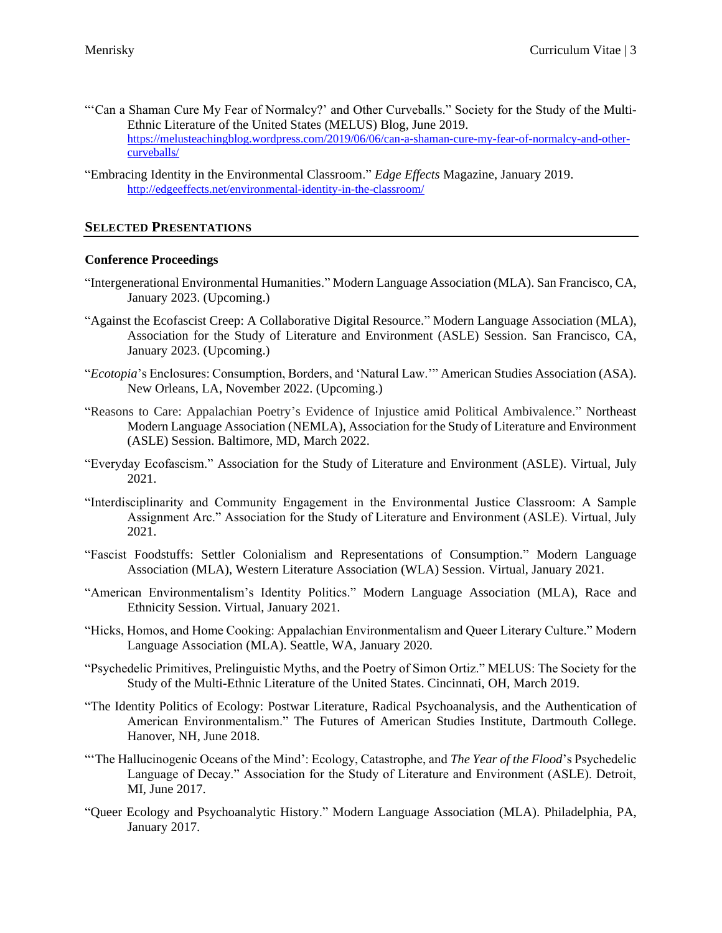- "'Can a Shaman Cure My Fear of Normalcy?' and Other Curveballs." Society for the Study of the Multi-Ethnic Literature of the United States (MELUS) Blog, June 2019. [https://melusteachingblog.wordpress.com/2019/06/06/can-a-shaman-cure-my-fear-of-normalcy-and-other](https://melusteachingblog.wordpress.com/2019/06/06/can-a-shaman-cure-my-fear-of-normalcy-and-other-curveballs/)[curveballs/](https://melusteachingblog.wordpress.com/2019/06/06/can-a-shaman-cure-my-fear-of-normalcy-and-other-curveballs/)
- "Embracing Identity in the Environmental Classroom." *Edge Effects* Magazine, January 2019. <http://edgeeffects.net/environmental-identity-in-the-classroom/>

## **SELECTED PRESENTATIONS**

### **Conference Proceedings**

- "Intergenerational Environmental Humanities." Modern Language Association (MLA). San Francisco, CA, January 2023. (Upcoming.)
- "Against the Ecofascist Creep: A Collaborative Digital Resource." Modern Language Association (MLA), Association for the Study of Literature and Environment (ASLE) Session. San Francisco, CA, January 2023. (Upcoming.)
- "*Ecotopia*'s Enclosures: Consumption, Borders, and 'Natural Law.'" American Studies Association (ASA). New Orleans, LA, November 2022. (Upcoming.)
- "Reasons to Care: Appalachian Poetry's Evidence of Injustice amid Political Ambivalence." Northeast Modern Language Association (NEMLA), Association for the Study of Literature and Environment (ASLE) Session. Baltimore, MD, March 2022.
- "Everyday Ecofascism." Association for the Study of Literature and Environment (ASLE). Virtual, July 2021.
- "Interdisciplinarity and Community Engagement in the Environmental Justice Classroom: A Sample Assignment Arc." Association for the Study of Literature and Environment (ASLE). Virtual, July 2021.
- "Fascist Foodstuffs: Settler Colonialism and Representations of Consumption." Modern Language Association (MLA), Western Literature Association (WLA) Session. Virtual, January 2021.
- "American Environmentalism's Identity Politics." Modern Language Association (MLA), Race and Ethnicity Session. Virtual, January 2021.
- "Hicks, Homos, and Home Cooking: Appalachian Environmentalism and Queer Literary Culture." Modern Language Association (MLA). Seattle, WA, January 2020.
- "Psychedelic Primitives, Prelinguistic Myths, and the Poetry of Simon Ortiz." MELUS: The Society for the Study of the Multi-Ethnic Literature of the United States. Cincinnati, OH, March 2019.
- "The Identity Politics of Ecology: Postwar Literature, Radical Psychoanalysis, and the Authentication of American Environmentalism." The Futures of American Studies Institute, Dartmouth College. Hanover, NH, June 2018.
- "'The Hallucinogenic Oceans of the Mind': Ecology, Catastrophe, and *The Year of the Flood*'s Psychedelic Language of Decay." Association for the Study of Literature and Environment (ASLE). Detroit, MI, June 2017.
- "Queer Ecology and Psychoanalytic History." Modern Language Association (MLA). Philadelphia, PA, January 2017.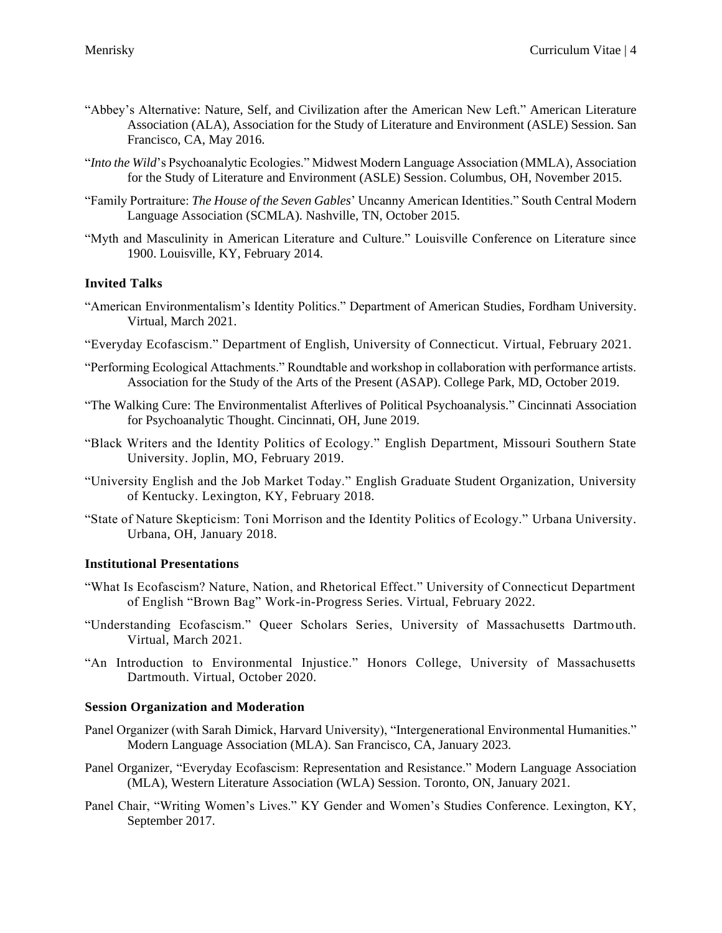- "Abbey's Alternative: Nature, Self, and Civilization after the American New Left." American Literature Association (ALA), Association for the Study of Literature and Environment (ASLE) Session. San Francisco, CA, May 2016.
- "*Into the Wild*'s Psychoanalytic Ecologies." Midwest Modern Language Association (MMLA), Association for the Study of Literature and Environment (ASLE) Session. Columbus, OH, November 2015.
- "Family Portraiture: *The House of the Seven Gables*' Uncanny American Identities." South Central Modern Language Association (SCMLA). Nashville, TN, October 2015.
- "Myth and Masculinity in American Literature and Culture." Louisville Conference on Literature since 1900. Louisville, KY, February 2014.

## **Invited Talks**

- "American Environmentalism's Identity Politics." Department of American Studies, Fordham University. Virtual, March 2021.
- "Everyday Ecofascism." Department of English, University of Connecticut. Virtual, February 2021.
- "Performing Ecological Attachments." Roundtable and workshop in collaboration with performance artists. Association for the Study of the Arts of the Present (ASAP). College Park, MD, October 2019.
- "The Walking Cure: The Environmentalist Afterlives of Political Psychoanalysis." Cincinnati Association for Psychoanalytic Thought. Cincinnati, OH, June 2019.
- "Black Writers and the Identity Politics of Ecology." English Department, Missouri Southern State University. Joplin, MO, February 2019.
- "University English and the Job Market Today." English Graduate Student Organization, University of Kentucky. Lexington, KY, February 2018.
- "State of Nature Skepticism: Toni Morrison and the Identity Politics of Ecology." Urbana University. Urbana, OH, January 2018.

### **Institutional Presentations**

- "What Is Ecofascism? Nature, Nation, and Rhetorical Effect." University of Connecticut Department of English "Brown Bag" Work-in-Progress Series. Virtual, February 2022.
- "Understanding Ecofascism." Queer Scholars Series, University of Massachusetts Dartmouth. Virtual, March 2021.
- "An Introduction to Environmental Injustice." Honors College, University of Massachusetts Dartmouth. Virtual, October 2020.

#### **Session Organization and Moderation**

- Panel Organizer (with Sarah Dimick, Harvard University), "Intergenerational Environmental Humanities." Modern Language Association (MLA). San Francisco, CA, January 2023.
- Panel Organizer, "Everyday Ecofascism: Representation and Resistance." Modern Language Association (MLA), Western Literature Association (WLA) Session. Toronto, ON, January 2021.
- Panel Chair, "Writing Women's Lives." KY Gender and Women's Studies Conference. Lexington, KY, September 2017.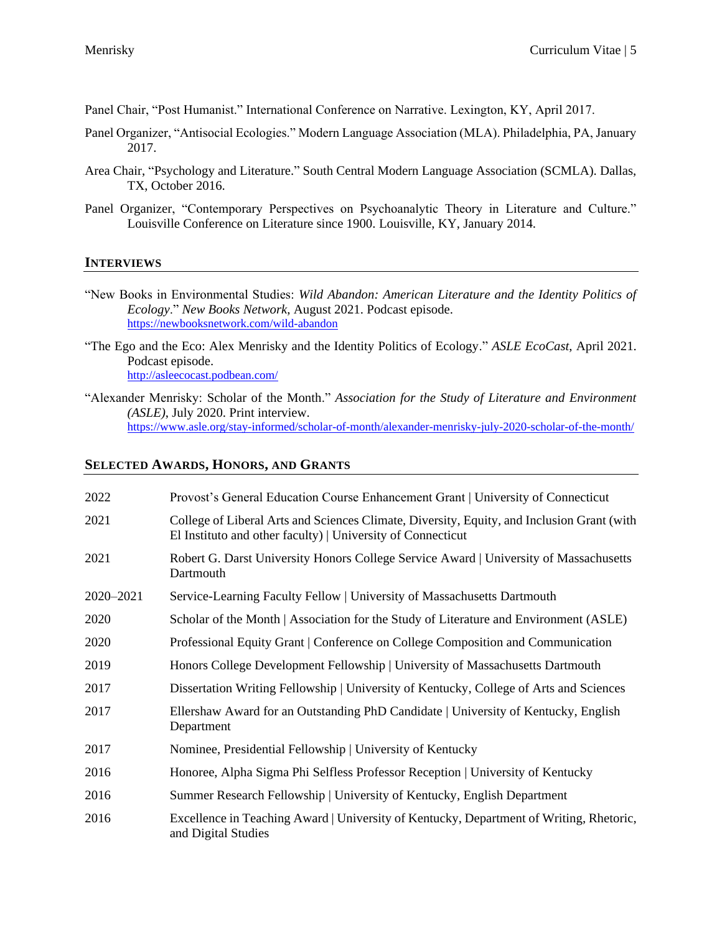Panel Chair, "Post Humanist." International Conference on Narrative. Lexington, KY, April 2017.

- Panel Organizer, "Antisocial Ecologies." Modern Language Association (MLA). Philadelphia, PA, January 2017.
- Area Chair, "Psychology and Literature." South Central Modern Language Association (SCMLA). Dallas, TX, October 2016.
- Panel Organizer, "Contemporary Perspectives on Psychoanalytic Theory in Literature and Culture." Louisville Conference on Literature since 1900. Louisville, KY, January 2014.

#### **INTERVIEWS**

- "New Books in Environmental Studies: *Wild Abandon: American Literature and the Identity Politics of Ecology*." *New Books Network*, August 2021. Podcast episode. <https://newbooksnetwork.com/wild-abandon>
- "The Ego and the Eco: Alex Menrisky and the Identity Politics of Ecology." *ASLE EcoCast*, April 2021. Podcast episode. <http://asleecocast.podbean.com/>
- "Alexander Menrisky: Scholar of the Month." *Association for the Study of Literature and Environment (ASLE)*, July 2020. Print interview. <https://www.asle.org/stay-informed/scholar-of-month/alexander-menrisky-july-2020-scholar-of-the-month/>

## **SELECTED AWARDS, HONORS, AND GRANTS**

| 2022      | Provost's General Education Course Enhancement Grant   University of Connecticut                                                                          |
|-----------|-----------------------------------------------------------------------------------------------------------------------------------------------------------|
| 2021      | College of Liberal Arts and Sciences Climate, Diversity, Equity, and Inclusion Grant (with<br>El Instituto and other faculty)   University of Connecticut |
| 2021      | Robert G. Darst University Honors College Service Award   University of Massachusetts<br>Dartmouth                                                        |
| 2020-2021 | Service-Learning Faculty Fellow   University of Massachusetts Dartmouth                                                                                   |
| 2020      | Scholar of the Month   Association for the Study of Literature and Environment (ASLE)                                                                     |
| 2020      | Professional Equity Grant   Conference on College Composition and Communication                                                                           |
| 2019      | Honors College Development Fellowship   University of Massachusetts Dartmouth                                                                             |
| 2017      | Dissertation Writing Fellowship   University of Kentucky, College of Arts and Sciences                                                                    |
| 2017      | Ellershaw Award for an Outstanding PhD Candidate   University of Kentucky, English<br>Department                                                          |
| 2017      | Nominee, Presidential Fellowship   University of Kentucky                                                                                                 |
| 2016      | Honoree, Alpha Sigma Phi Selfless Professor Reception   University of Kentucky                                                                            |
| 2016      | Summer Research Fellowship   University of Kentucky, English Department                                                                                   |
| 2016      | Excellence in Teaching Award   University of Kentucky, Department of Writing, Rhetoric,<br>and Digital Studies                                            |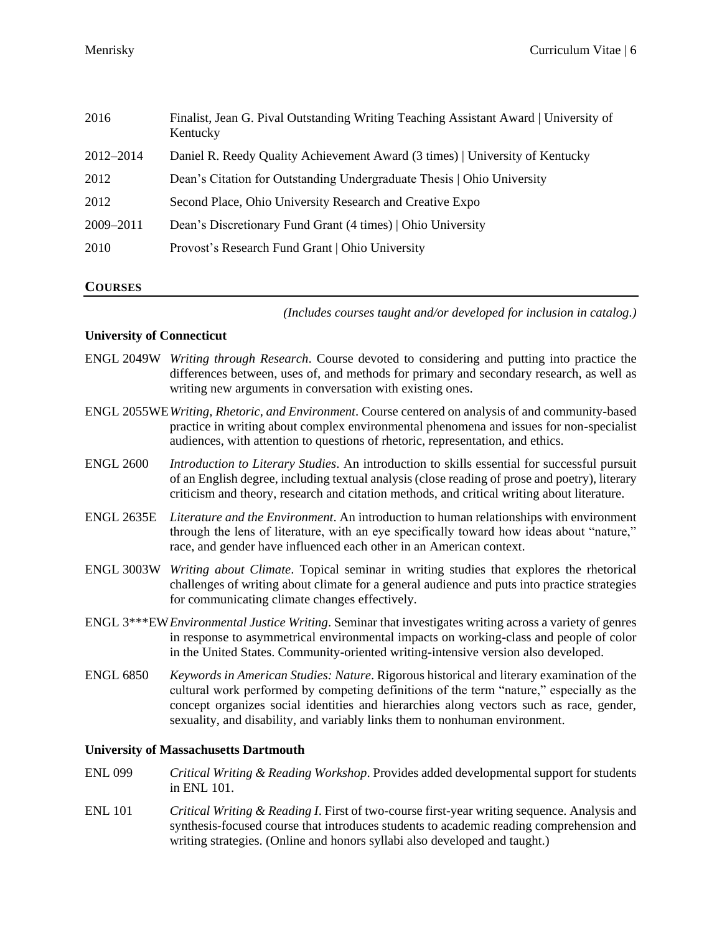| 2016      | Finalist, Jean G. Pival Outstanding Writing Teaching Assistant Award   University of<br>Kentucky |
|-----------|--------------------------------------------------------------------------------------------------|
| 2012-2014 | Daniel R. Reedy Quality Achievement Award (3 times)   University of Kentucky                     |
| 2012      | Dean's Citation for Outstanding Undergraduate Thesis   Ohio University                           |
| 2012      | Second Place, Ohio University Research and Creative Expo                                         |
| 2009-2011 | Dean's Discretionary Fund Grant (4 times)   Ohio University                                      |
| 2010      | Provost's Research Fund Grant   Ohio University                                                  |
|           |                                                                                                  |

#### **COURSES**

*(Includes courses taught and/or developed for inclusion in catalog.)*

#### **University of Connecticut**

- ENGL 2049W *Writing through Research*. Course devoted to considering and putting into practice the differences between, uses of, and methods for primary and secondary research, as well as writing new arguments in conversation with existing ones.
- ENGL 2055WE*Writing, Rhetoric, and Environment*. Course centered on analysis of and community-based practice in writing about complex environmental phenomena and issues for non-specialist audiences, with attention to questions of rhetoric, representation, and ethics.
- ENGL 2600 *Introduction to Literary Studies*. An introduction to skills essential for successful pursuit of an English degree, including textual analysis (close reading of prose and poetry), literary criticism and theory, research and citation methods, and critical writing about literature.
- ENGL 2635E *Literature and the Environment*. An introduction to human relationships with environment through the lens of literature, with an eye specifically toward how ideas about "nature," race, and gender have influenced each other in an American context.
- ENGL 3003W *Writing about Climate*. Topical seminar in writing studies that explores the rhetorical challenges of writing about climate for a general audience and puts into practice strategies for communicating climate changes effectively.
- ENGL 3\*\*\*EW*Environmental Justice Writing*. Seminar that investigates writing across a variety of genres in response to asymmetrical environmental impacts on working-class and people of color in the United States. Community-oriented writing-intensive version also developed.
- ENGL 6850 *Keywords in American Studies: Nature*. Rigorous historical and literary examination of the cultural work performed by competing definitions of the term "nature," especially as the concept organizes social identities and hierarchies along vectors such as race, gender, sexuality, and disability, and variably links them to nonhuman environment.

#### **University of Massachusetts Dartmouth**

- ENL 099 *Critical Writing & Reading Workshop*. Provides added developmental support for students in ENL 101.
- ENL 101 *Critical Writing & Reading I*. First of two-course first-year writing sequence. Analysis and synthesis-focused course that introduces students to academic reading comprehension and writing strategies. (Online and honors syllabi also developed and taught.)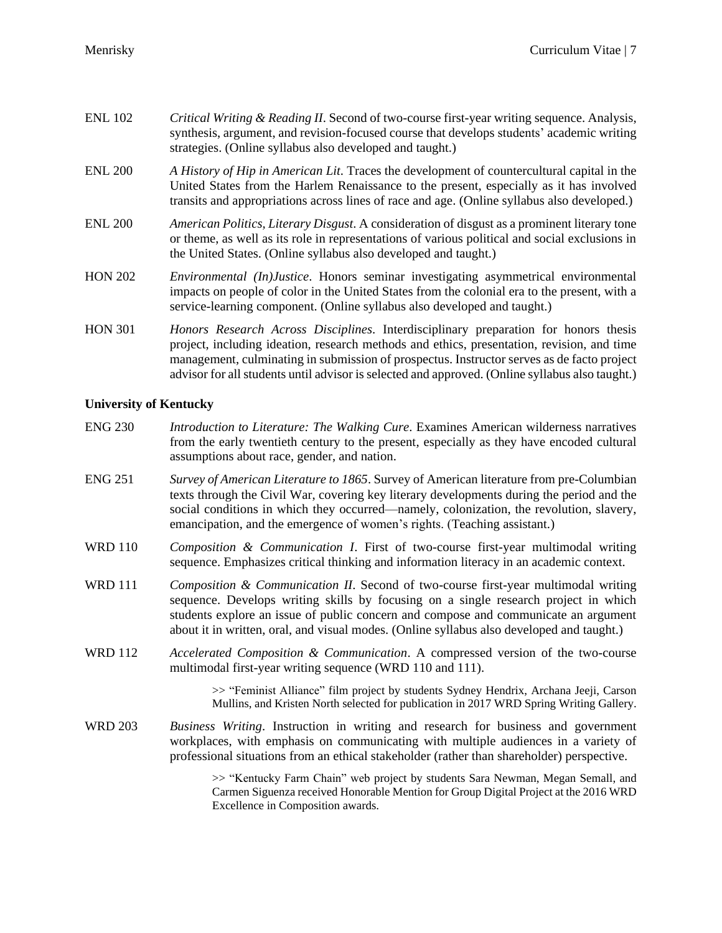| <b>ENL 102</b> | Critical Writing & Reading II. Second of two-course first-year writing sequence. Analysis,<br>synthesis, argument, and revision-focused course that develops students' academic writing<br>strategies. (Online syllabus also developed and taught.)                                                                                                                                |
|----------------|------------------------------------------------------------------------------------------------------------------------------------------------------------------------------------------------------------------------------------------------------------------------------------------------------------------------------------------------------------------------------------|
| <b>ENL 200</b> | A History of Hip in American Lit. Traces the development of countercultural capital in the<br>United States from the Harlem Renaissance to the present, especially as it has involved<br>transits and appropriations across lines of race and age. (Online syllabus also developed.)                                                                                               |
| <b>ENL 200</b> | <i>American Politics, Literary Disgust.</i> A consideration of disgust as a prominent literary tone<br>or theme, as well as its role in representations of various political and social exclusions in<br>the United States. (Online syllabus also developed and taught.)                                                                                                           |
| <b>HON 202</b> | <i>Environmental (In)Justice.</i> Honors seminar investigating asymmetrical environmental<br>impacts on people of color in the United States from the colonial era to the present, with a<br>service-learning component. (Online syllabus also developed and taught.)                                                                                                              |
| <b>HON 301</b> | Honors Research Across Disciplines. Interdisciplinary preparation for honors thesis<br>project, including ideation, research methods and ethics, presentation, revision, and time<br>management, culminating in submission of prospectus. Instructor serves as de facto project<br>advisor for all students until advisor is selected and approved. (Online syllabus also taught.) |

## **University of Kentucky**

- ENG 230 *Introduction to Literature: The Walking Cure*. Examines American wilderness narratives from the early twentieth century to the present, especially as they have encoded cultural assumptions about race, gender, and nation.
- ENG 251 *Survey of American Literature to 1865*. Survey of American literature from pre-Columbian texts through the Civil War, covering key literary developments during the period and the social conditions in which they occurred—namely, colonization, the revolution, slavery, emancipation, and the emergence of women's rights. (Teaching assistant.)
- WRD 110 *Composition & Communication I*. First of two-course first-year multimodal writing sequence. Emphasizes critical thinking and information literacy in an academic context.
- WRD 111 *Composition & Communication II*. Second of two-course first-year multimodal writing sequence. Develops writing skills by focusing on a single research project in which students explore an issue of public concern and compose and communicate an argument about it in written, oral, and visual modes. (Online syllabus also developed and taught.)
- WRD 112 *Accelerated Composition & Communication*. A compressed version of the two-course multimodal first-year writing sequence (WRD 110 and 111).

>> "Feminist Alliance" film project by students Sydney Hendrix, Archana Jeeji, Carson Mullins, and Kristen North selected for publication in 2017 WRD Spring Writing Gallery.

WRD 203 *Business Writing*. Instruction in writing and research for business and government workplaces, with emphasis on communicating with multiple audiences in a variety of professional situations from an ethical stakeholder (rather than shareholder) perspective.

> >> "Kentucky Farm Chain" web project by students Sara Newman, Megan Semall, and Carmen Siguenza received Honorable Mention for Group Digital Project at the 2016 WRD Excellence in Composition awards.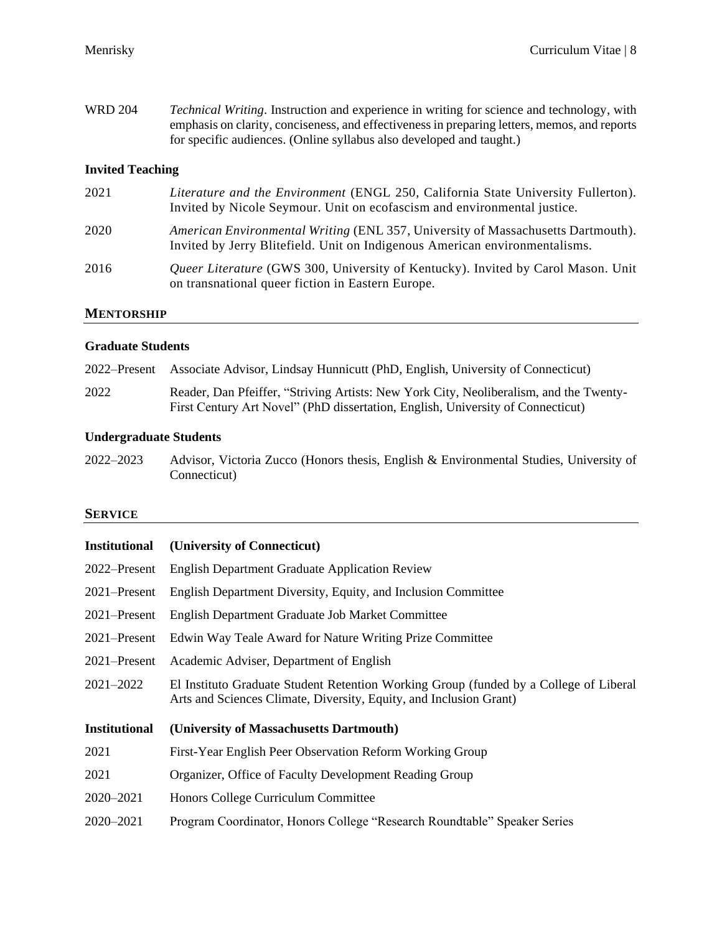WRD 204 *Technical Writing*. Instruction and experience in writing for science and technology, with emphasis on clarity, conciseness, and effectiveness in preparing letters, memos, and reports for specific audiences. (Online syllabus also developed and taught.)

## **Invited Teaching**

| 2021 | Literature and the Environment (ENGL 250, California State University Fullerton).<br>Invited by Nicole Seymour. Unit on ecofascism and environmental justice.   |
|------|-----------------------------------------------------------------------------------------------------------------------------------------------------------------|
| 2020 | American Environmental Writing (ENL 357, University of Massachusetts Dartmouth).<br>Invited by Jerry Blitefield. Unit on Indigenous American environmentalisms. |
| 2016 | Queer Literature (GWS 300, University of Kentucky). Invited by Carol Mason. Unit<br>on transnational queer fiction in Eastern Europe.                           |

## **MENTORSHIP**

#### **Graduate Students**

| 2022–Present Associate Advisor, Lindsay Hunnicutt (PhD, English, University of Connecticut) |  |  |
|---------------------------------------------------------------------------------------------|--|--|
|                                                                                             |  |  |

2022 Reader, Dan Pfeiffer, "Striving Artists: New York City, Neoliberalism, and the Twenty-First Century Art Novel" (PhD dissertation, English, University of Connecticut)

## **Undergraduate Students**

2022–2023 Advisor, Victoria Zucco (Honors thesis, English & Environmental Studies, University of Connecticut)

## **SERVICE**

| <b>Institutional</b> | (University of Connecticut)                                                                                                                                 |  |
|----------------------|-------------------------------------------------------------------------------------------------------------------------------------------------------------|--|
| 2022–Present         | <b>English Department Graduate Application Review</b>                                                                                                       |  |
| 2021–Present         | English Department Diversity, Equity, and Inclusion Committee                                                                                               |  |
| $2021 -$ Present     | English Department Graduate Job Market Committee                                                                                                            |  |
| $2021 -$ Present     | Edwin Way Teale Award for Nature Writing Prize Committee                                                                                                    |  |
| $2021 -$ Present     | Academic Adviser, Department of English                                                                                                                     |  |
| $2021 - 2022$        | El Instituto Graduate Student Retention Working Group (funded by a College of Liberal<br>Arts and Sciences Climate, Diversity, Equity, and Inclusion Grant) |  |
| <b>Institutional</b> | (University of Massachusetts Dartmouth)                                                                                                                     |  |
| 2021                 | First-Year English Peer Observation Reform Working Group                                                                                                    |  |
| 2021                 | Organizer, Office of Faculty Development Reading Group                                                                                                      |  |
| $2020 - 2021$        | Honors College Curriculum Committee                                                                                                                         |  |
| 2020–2021            | Program Coordinator, Honors College "Research Roundtable" Speaker Series                                                                                    |  |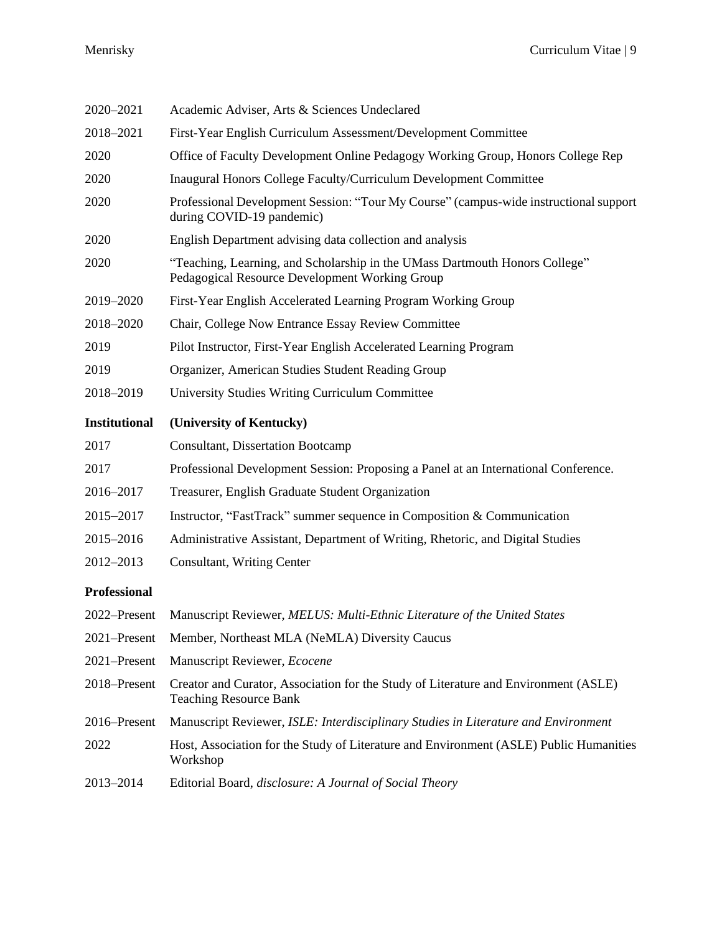| 2020-2021            | Academic Adviser, Arts & Sciences Undeclared                                                                                  |  |
|----------------------|-------------------------------------------------------------------------------------------------------------------------------|--|
| 2018-2021            | First-Year English Curriculum Assessment/Development Committee                                                                |  |
| 2020                 | Office of Faculty Development Online Pedagogy Working Group, Honors College Rep                                               |  |
| 2020                 | Inaugural Honors College Faculty/Curriculum Development Committee                                                             |  |
| 2020                 | Professional Development Session: "Tour My Course" (campus-wide instructional support<br>during COVID-19 pandemic)            |  |
| 2020                 | English Department advising data collection and analysis                                                                      |  |
| 2020                 | "Teaching, Learning, and Scholarship in the UMass Dartmouth Honors College"<br>Pedagogical Resource Development Working Group |  |
| 2019-2020            | First-Year English Accelerated Learning Program Working Group                                                                 |  |
| 2018-2020            | Chair, College Now Entrance Essay Review Committee                                                                            |  |
| 2019                 | Pilot Instructor, First-Year English Accelerated Learning Program                                                             |  |
| 2019                 | Organizer, American Studies Student Reading Group                                                                             |  |
| 2018-2019            | University Studies Writing Curriculum Committee                                                                               |  |
| <b>Institutional</b> | (University of Kentucky)                                                                                                      |  |
| 2017                 | <b>Consultant, Dissertation Bootcamp</b>                                                                                      |  |
| 2017                 | Professional Development Session: Proposing a Panel at an International Conference.                                           |  |
| 2016-2017            | Treasurer, English Graduate Student Organization                                                                              |  |
| 2015-2017            | Instructor, "FastTrack" summer sequence in Composition & Communication                                                        |  |
| 2015-2016            | Administrative Assistant, Department of Writing, Rhetoric, and Digital Studies                                                |  |
| 2012-2013            | Consultant, Writing Center                                                                                                    |  |
| <b>Professional</b>  |                                                                                                                               |  |
| 2022-Present         | Manuscript Reviewer, MELUS: Multi-Ethnic Literature of the United States                                                      |  |
| 2021-Present         | Member, Northeast MLA (NeMLA) Diversity Caucus                                                                                |  |
| 2021-Present         | Manuscript Reviewer, Ecocene                                                                                                  |  |
| 2018-Present         | Creator and Curator, Association for the Study of Literature and Environment (ASLE)<br><b>Teaching Resource Bank</b>          |  |
| 2016–Present         | Manuscript Reviewer, ISLE: Interdisciplinary Studies in Literature and Environment                                            |  |
| 2022                 | Host, Association for the Study of Literature and Environment (ASLE) Public Humanities<br>Workshop                            |  |
| 2013-2014            | Editorial Board, <i>disclosure: A Journal of Social Theory</i>                                                                |  |
|                      |                                                                                                                               |  |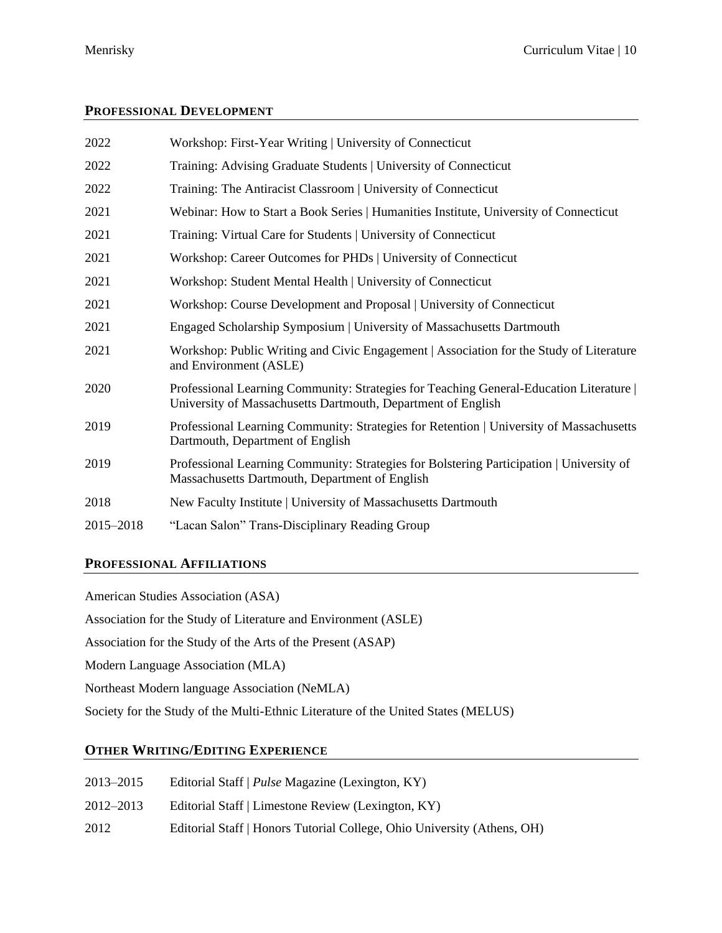## **PROFESSIONAL DEVELOPMENT**

| 2022      | Workshop: First-Year Writing   University of Connecticut                                                                                              |
|-----------|-------------------------------------------------------------------------------------------------------------------------------------------------------|
| 2022      | Training: Advising Graduate Students   University of Connecticut                                                                                      |
| 2022      | Training: The Antiracist Classroom   University of Connecticut                                                                                        |
| 2021      | Webinar: How to Start a Book Series   Humanities Institute, University of Connecticut                                                                 |
| 2021      | Training: Virtual Care for Students   University of Connecticut                                                                                       |
| 2021      | Workshop: Career Outcomes for PHDs   University of Connecticut                                                                                        |
| 2021      | Workshop: Student Mental Health   University of Connecticut                                                                                           |
| 2021      | Workshop: Course Development and Proposal   University of Connecticut                                                                                 |
| 2021      | Engaged Scholarship Symposium   University of Massachusetts Dartmouth                                                                                 |
| 2021      | Workshop: Public Writing and Civic Engagement   Association for the Study of Literature<br>and Environment (ASLE)                                     |
| 2020      | Professional Learning Community: Strategies for Teaching General-Education Literature<br>University of Massachusetts Dartmouth, Department of English |
| 2019      | Professional Learning Community: Strategies for Retention   University of Massachusetts<br>Dartmouth, Department of English                           |
| 2019      | Professional Learning Community: Strategies for Bolstering Participation   University of<br>Massachusetts Dartmouth, Department of English            |
| 2018      | New Faculty Institute   University of Massachusetts Dartmouth                                                                                         |
| 2015-2018 | "Lacan Salon" Trans-Disciplinary Reading Group                                                                                                        |
|           |                                                                                                                                                       |

## **PROFESSIONAL AFFILIATIONS**

American Studies Association (ASA) Association for the Study of Literature and Environment (ASLE) Association for the Study of the Arts of the Present (ASAP) Modern Language Association (MLA) Northeast Modern language Association (NeMLA) Society for the Study of the Multi-Ethnic Literature of the United States (MELUS)

## **OTHER WRITING/EDITING EXPERIENCE**

| 2013–2015 | Editorial Staff   Pulse Magazine (Lexington, KY)                        |
|-----------|-------------------------------------------------------------------------|
| 2012–2013 | Editorial Staff   Limestone Review (Lexington, KY)                      |
| 2012      | Editorial Staff   Honors Tutorial College, Ohio University (Athens, OH) |